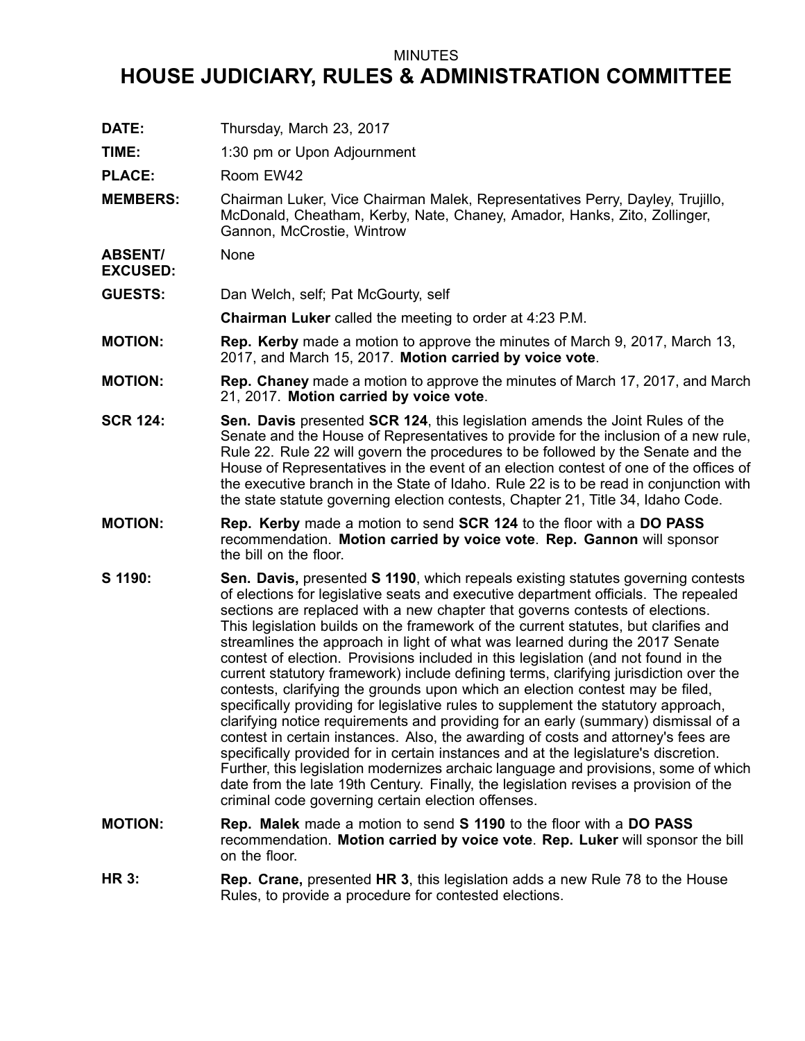## MINUTES

## **HOUSE JUDICIARY, RULES & ADMINISTRATION COMMITTEE**

**DATE:** Thursday, March 23, 2017 **TIME:** 1:30 pm or Upon Adjournment PLACE: Room EW42 **MEMBERS:** Chairman Luker, Vice Chairman Malek, Representatives Perry, Dayley, Trujillo, McDonald, Cheatham, Kerby, Nate, Chaney, Amador, Hanks, Zito, Zollinger, Gannon, McCrostie, Wintrow **ABSENT/ EXCUSED:** None **GUESTS:** Dan Welch, self; Pat McGourty, self **Chairman Luker** called the meeting to order at 4:23 P.M. **MOTION: Rep. Kerby** made <sup>a</sup> motion to approve the minutes of March 9, 2017, March 13, 2017, and March 15, 2017. **Motion carried by voice vote**. **MOTION: Rep. Chaney** made <sup>a</sup> motion to approve the minutes of March 17, 2017, and March 21, 2017. **Motion carried by voice vote**. **SCR 124: Sen. Davis** presented **SCR 124**, this legislation amends the Joint Rules of the Senate and the House of Representatives to provide for the inclusion of <sup>a</sup> new rule, Rule 22. Rule 22 will govern the procedures to be followed by the Senate and the House of Representatives in the event of an election contest of one of the offices of the executive branch in the State of Idaho. Rule 22 is to be read in conjunction with the state statute governing election contests, Chapter 21, Title 34, Idaho Code. **MOTION: Rep. Kerby** made <sup>a</sup> motion to send **SCR 124** to the floor with <sup>a</sup> **DO PASS** recommendation. **Motion carried by voice vote**. **Rep. Gannon** will sponsor the bill on the floor. **S 1190: Sen. Davis,** presented **S 1190**, which repeals existing statutes governing contests of elections for legislative seats and executive department officials. The repealed sections are replaced with <sup>a</sup> new chapter that governs contests of elections. This legislation builds on the framework of the current statutes, but clarifies and streamlines the approach in light of what was learned during the 2017 Senate contest of election. Provisions included in this legislation (and not found in the current statutory framework) include defining terms, clarifying jurisdiction over the contests, clarifying the grounds upon which an election contest may be filed, specifically providing for legislative rules to supplement the statutory approach, clarifying notice requirements and providing for an early (summary) dismissal of <sup>a</sup> contest in certain instances. Also, the awarding of costs and attorney's fees are specifically provided for in certain instances and at the legislature's discretion. Further, this legislation modernizes archaic language and provisions, some of which date from the late 19th Century. Finally, the legislation revises <sup>a</sup> provision of the criminal code governing certain election offenses. **MOTION: Rep. Malek** made <sup>a</sup> motion to send **S 1190** to the floor with <sup>a</sup> **DO PASS** recommendation. **Motion carried by voice vote**. **Rep. Luker** will sponsor the bill on the floor. **HR 3: Rep. Crane,** presented **HR 3**, this legislation adds <sup>a</sup> new Rule 78 to the House Rules, to provide <sup>a</sup> procedure for contested elections.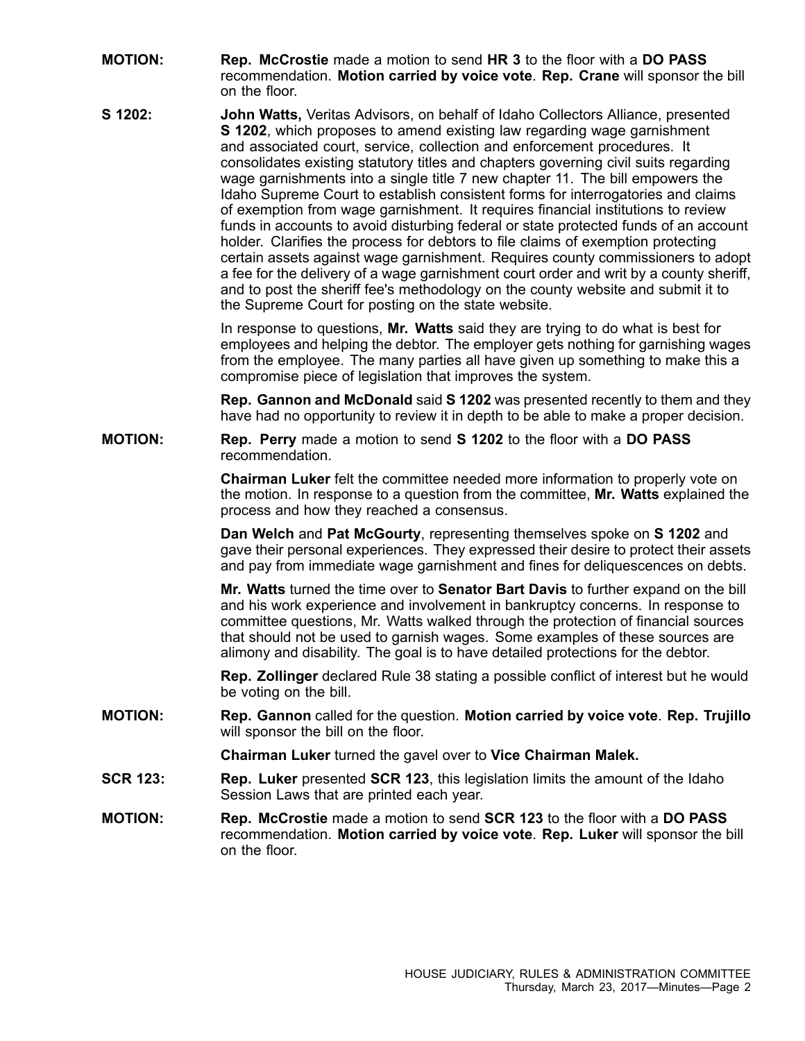- **MOTION: Rep. McCrostie** made <sup>a</sup> motion to send **HR 3** to the floor with <sup>a</sup> **DO PASS** recommendation. **Motion carried by voice vote**. **Rep. Crane** will sponsor the bill on the floor.
- **S 1202: John Watts,** Veritas Advisors, on behalf of Idaho Collectors Alliance, presented **S 1202**, which proposes to amend existing law regarding wage garnishment and associated court, service, collection and enforcement procedures. It consolidates existing statutory titles and chapters governing civil suits regarding wage garnishments into <sup>a</sup> single title 7 new chapter 11. The bill empowers the Idaho Supreme Court to establish consistent forms for interrogatories and claims of exemption from wage garnishment. It requires financial institutions to review funds in accounts to avoid disturbing federal or state protected funds of an account holder. Clarifies the process for debtors to file claims of exemption protecting certain assets against wage garnishment. Requires county commissioners to adopt <sup>a</sup> fee for the delivery of <sup>a</sup> wage garnishment court order and writ by <sup>a</sup> county sheriff, and to post the sheriff fee's methodology on the county website and submit it to the Supreme Court for posting on the state website.

In response to questions, **Mr. Watts** said they are trying to do what is best for employees and helping the debtor. The employer gets nothing for garnishing wages from the employee. The many parties all have given up something to make this <sup>a</sup> compromise piece of legislation that improves the system.

**Rep. Gannon and McDonald** said **S 1202** was presented recently to them and they have had no opportunity to review it in depth to be able to make <sup>a</sup> proper decision.

## **MOTION: Rep. Perry** made <sup>a</sup> motion to send **S 1202** to the floor with <sup>a</sup> **DO PASS** recommendation.

**Chairman Luker** felt the committee needed more information to properly vote on the motion. In response to <sup>a</sup> question from the committee, **Mr. Watts** explained the process and how they reached <sup>a</sup> consensus.

**Dan Welch** and **Pat McGourty**, representing themselves spoke on **S 1202** and gave their personal experiences. They expressed their desire to protect their assets and pay from immediate wage garnishment and fines for deliquescences on debts.

**Mr. Watts** turned the time over to **Senator Bart Davis** to further expand on the bill and his work experience and involvement in bankruptcy concerns. In response to committee questions, Mr. Watts walked through the protection of financial sources that should not be used to garnish wages. Some examples of these sources are alimony and disability. The goal is to have detailed protections for the debtor.

**Rep. Zollinger** declared Rule 38 stating <sup>a</sup> possible conflict of interest but he would be voting on the bill.

**MOTION: Rep. Gannon** called for the question. **Motion carried by voice vote**. **Rep. Trujillo** will sponsor the bill on the floor.

**Chairman Luker** turned the gavel over to **Vice Chairman Malek.**

- **SCR 123: Rep. Luker** presented **SCR 123**, this legislation limits the amount of the Idaho Session Laws that are printed each year.
- **MOTION: Rep. McCrostie** made <sup>a</sup> motion to send **SCR 123** to the floor with <sup>a</sup> **DO PASS** recommendation. **Motion carried by voice vote**. **Rep. Luker** will sponsor the bill on the floor.